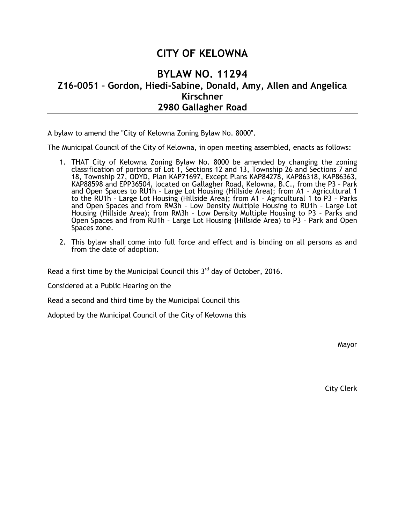## **CITY OF KELOWNA**

## **BYLAW NO. 11294 Z16-0051 – Gordon, Hiedi-Sabine, Donald, Amy, Allen and Angelica Kirschner 2980 Gallagher Road**

A bylaw to amend the "City of Kelowna Zoning Bylaw No. 8000".

The Municipal Council of the City of Kelowna, in open meeting assembled, enacts as follows:

- 1. THAT City of Kelowna Zoning Bylaw No. 8000 be amended by changing the zoning classification of portions of Lot 1, Sections 12 and 13, Township 26 and Sections 7 and 18, Township 27, ODYD, Plan KAP71697, Except Plans KAP84278, KAP86318, KAP86363, KAP88598 and EPP36504, located on Gallagher Road, Kelowna, B.C., from the P3 – Park and Open Spaces to RU1h – Large Lot Housing (Hillside Area); from A1 – Agricultural 1 to the RU1h – Large Lot Housing (Hillside Area); from A1 – Agricultural 1 to P3 – Parks and Open Spaces and from RM3h – Low Density Multiple Housing to RU1h – Large Lot Housing (Hillside Area); from RM3h – Low Density Multiple Housing to P3 – Parks and Open Spaces and from RU1h – Large Lot Housing (Hillside Area) to P3 – Park and Open Spaces zone.
- 2. This bylaw shall come into full force and effect and is binding on all persons as and from the date of adoption.

Read a first time by the Municipal Council this  $3<sup>rd</sup>$  day of October, 2016.

Considered at a Public Hearing on the

Read a second and third time by the Municipal Council this

Adopted by the Municipal Council of the City of Kelowna this

**Mayor** 

City Clerk